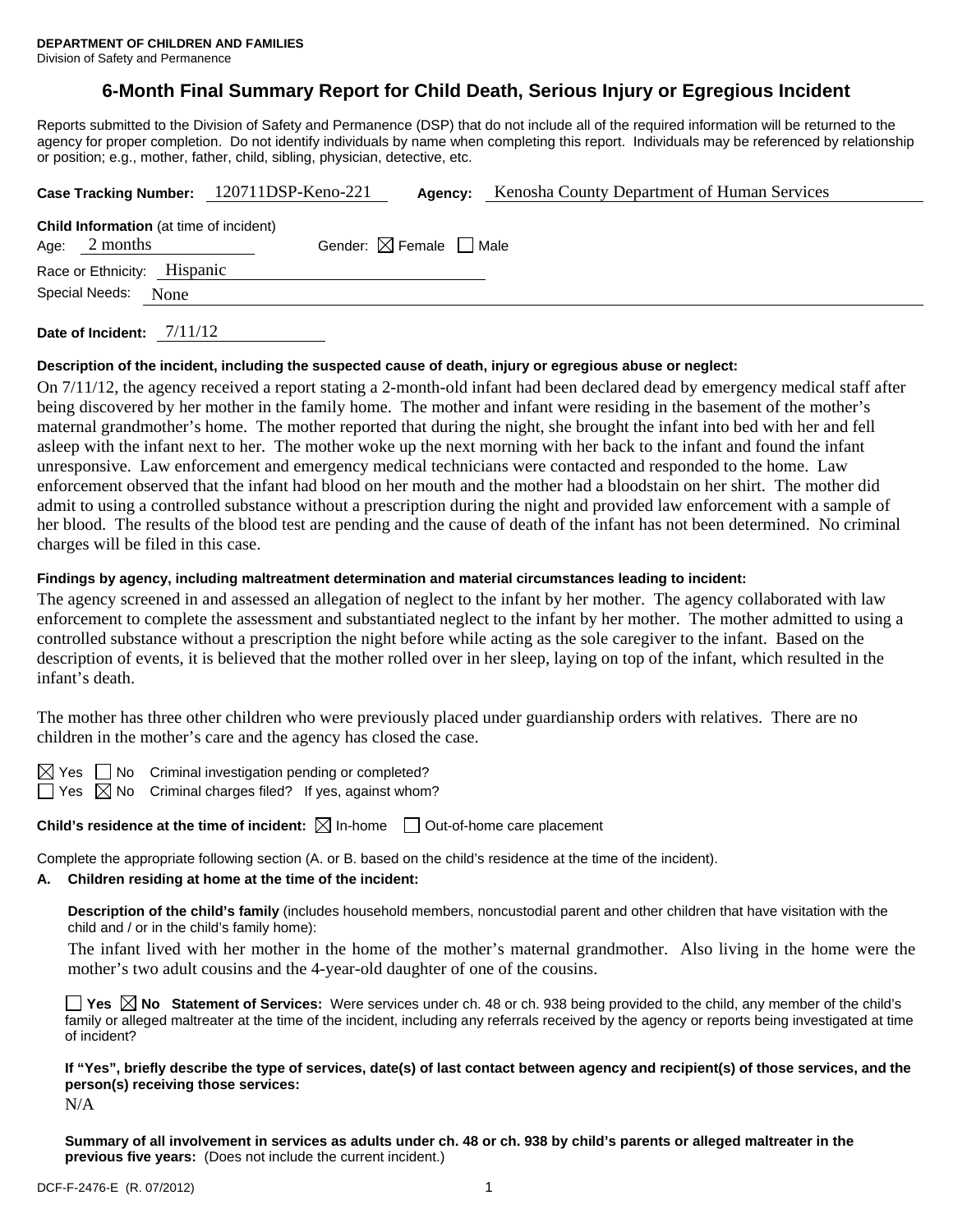# **6-Month Final Summary Report for Child Death, Serious Injury or Egregious Incident**

Reports submitted to the Division of Safety and Permanence (DSP) that do not include all of the required information will be returned to the agency for proper completion. Do not identify individuals by name when completing this report. Individuals may be referenced by relationship or position; e.g., mother, father, child, sibling, physician, detective, etc.

|                                                                   |      | Case Tracking Number: 120711DSP-Keno-221 | Agency:                                | Kenosha County Department of Human Services |
|-------------------------------------------------------------------|------|------------------------------------------|----------------------------------------|---------------------------------------------|
| <b>Child Information</b> (at time of incident)<br>Age: $2$ months |      |                                          | Gender: $\boxtimes$ Female $\Box$ Male |                                             |
| Race or Ethnicity: Hispanic                                       |      |                                          |                                        |                                             |
| Special Needs:                                                    | None |                                          |                                        |                                             |

**Date of Incident:** 7/11/12

#### **Description of the incident, including the suspected cause of death, injury or egregious abuse or neglect:**

On 7/11/12, the agency received a report stating a 2-month-old infant had been declared dead by emergency medical staff after being discovered by her mother in the family home. The mother and infant were residing in the basement of the mother's maternal grandmother's home. The mother reported that during the night, she brought the infant into bed with her and fell asleep with the infant next to her. The mother woke up the next morning with her back to the infant and found the infant unresponsive. Law enforcement and emergency medical technicians were contacted and responded to the home. Law enforcement observed that the infant had blood on her mouth and the mother had a bloodstain on her shirt. The mother did admit to using a controlled substance without a prescription during the night and provided law enforcement with a sample of her blood. The results of the blood test are pending and the cause of death of the infant has not been determined. No criminal charges will be filed in this case.

#### **Findings by agency, including maltreatment determination and material circumstances leading to incident:**

The agency screened in and assessed an allegation of neglect to the infant by her mother. The agency collaborated with law enforcement to complete the assessment and substantiated neglect to the infant by her mother. The mother admitted to using a controlled substance without a prescription the night before while acting as the sole caregiver to the infant. Based on the description of events, it is believed that the mother rolled over in her sleep, laying on top of the infant, which resulted in the infant's death.

The mother has three other children who were previously placed under guardianship orders with relatives. There are no children in the mother's care and the agency has closed the case.

 $\boxtimes$  Yes  $\Box$  No Criminal investigation pending or completed?

 $\Box$  Yes  $\boxtimes$  No Criminal charges filed? If yes, against whom?

**Child's residence at the time of incident:**  $\boxtimes$  In-home  $\Box$  Out-of-home care placement

Complete the appropriate following section (A. or B. based on the child's residence at the time of the incident).

#### **A. Children residing at home at the time of the incident:**

**Description of the child's family** (includes household members, noncustodial parent and other children that have visitation with the child and / or in the child's family home):

 The infant lived with her mother in the home of the mother's maternal grandmother. Also living in the home were the mother's two adult cousins and the 4-year-old daughter of one of the cousins.

**Yes**  $\boxtimes$  **No** Statement of Services: Were services under ch. 48 or ch. 938 being provided to the child, any member of the child's family or alleged maltreater at the time of the incident, including any referrals received by the agency or reports being investigated at time of incident?

**If "Yes", briefly describe the type of services, date(s) of last contact between agency and recipient(s) of those services, and the person(s) receiving those services:**  N/A

**Summary of all involvement in services as adults under ch. 48 or ch. 938 by child's parents or alleged maltreater in the previous five years:** (Does not include the current incident.)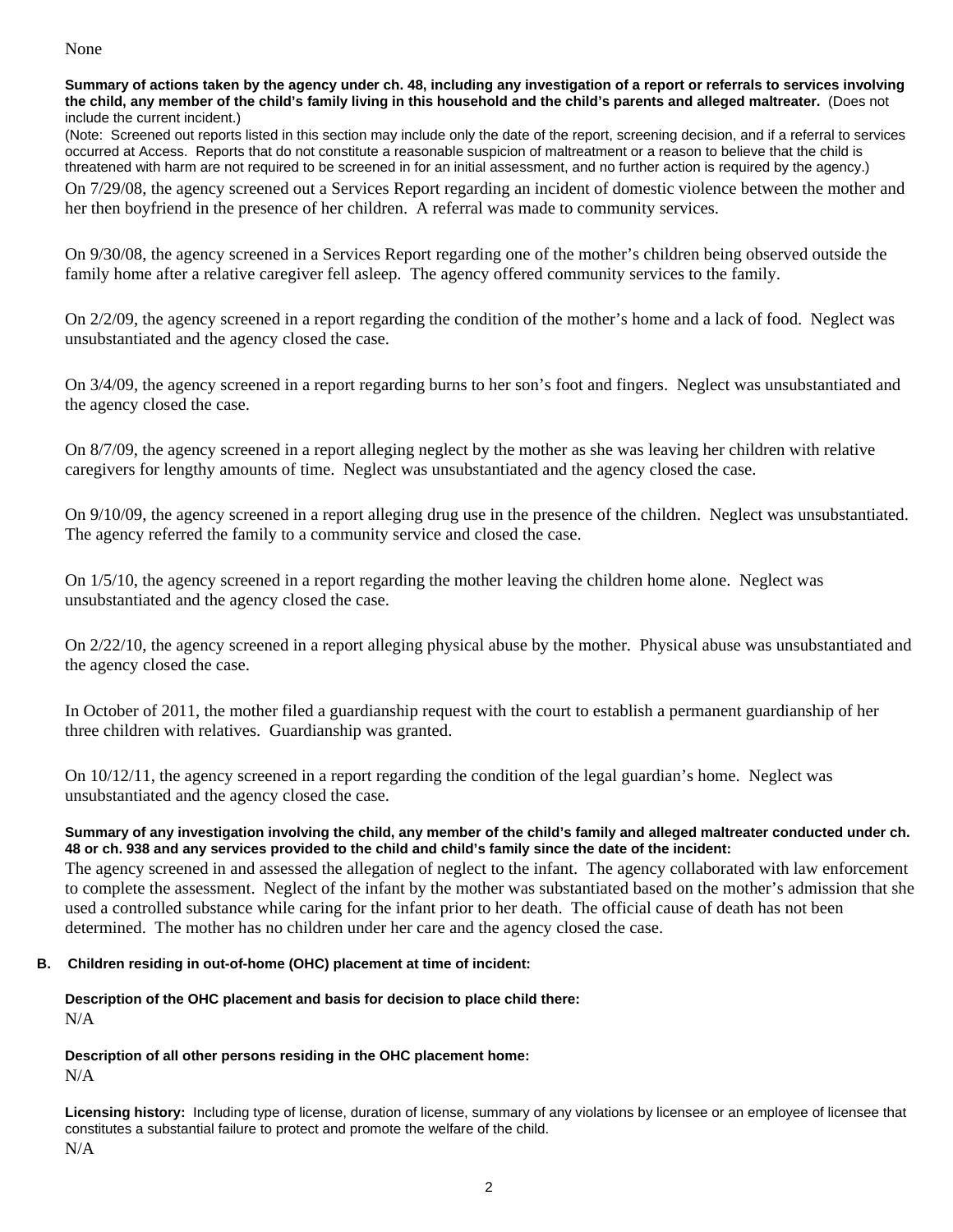### None

**Summary of actions taken by the agency under ch. 48, including any investigation of a report or referrals to services involving the child, any member of the child's family living in this household and the child's parents and alleged maltreater.** (Does not include the current incident.)

(Note: Screened out reports listed in this section may include only the date of the report, screening decision, and if a referral to services occurred at Access. Reports that do not constitute a reasonable suspicion of maltreatment or a reason to believe that the child is threatened with harm are not required to be screened in for an initial assessment, and no further action is required by the agency.)

On 7/29/08, the agency screened out a Services Report regarding an incident of domestic violence between the mother and her then boyfriend in the presence of her children. A referral was made to community services.

On 9/30/08, the agency screened in a Services Report regarding one of the mother's children being observed outside the family home after a relative caregiver fell asleep. The agency offered community services to the family.

On 2/2/09, the agency screened in a report regarding the condition of the mother's home and a lack of food. Neglect was unsubstantiated and the agency closed the case.

On 3/4/09, the agency screened in a report regarding burns to her son's foot and fingers. Neglect was unsubstantiated and the agency closed the case.

On 8/7/09, the agency screened in a report alleging neglect by the mother as she was leaving her children with relative caregivers for lengthy amounts of time. Neglect was unsubstantiated and the agency closed the case.

On 9/10/09, the agency screened in a report alleging drug use in the presence of the children. Neglect was unsubstantiated. The agency referred the family to a community service and closed the case.

On 1/5/10, the agency screened in a report regarding the mother leaving the children home alone. Neglect was unsubstantiated and the agency closed the case.

On 2/22/10, the agency screened in a report alleging physical abuse by the mother. Physical abuse was unsubstantiated and the agency closed the case.

In October of 2011, the mother filed a guardianship request with the court to establish a permanent guardianship of her three children with relatives. Guardianship was granted.

On 10/12/11, the agency screened in a report regarding the condition of the legal guardian's home. Neglect was unsubstantiated and the agency closed the case.

# **Summary of any investigation involving the child, any member of the child's family and alleged maltreater conducted under ch. 48 or ch. 938 and any services provided to the child and child's family since the date of the incident:**

The agency screened in and assessed the allegation of neglect to the infant. The agency collaborated with law enforcement to complete the assessment. Neglect of the infant by the mother was substantiated based on the mother's admission that she used a controlled substance while caring for the infant prior to her death. The official cause of death has not been determined. The mother has no children under her care and the agency closed the case.

# **B. Children residing in out-of-home (OHC) placement at time of incident:**

**Description of the OHC placement and basis for decision to place child there:** N/A

**Description of all other persons residing in the OHC placement home:**

N/A

**Licensing history:** Including type of license, duration of license, summary of any violations by licensee or an employee of licensee that constitutes a substantial failure to protect and promote the welfare of the child. N/A